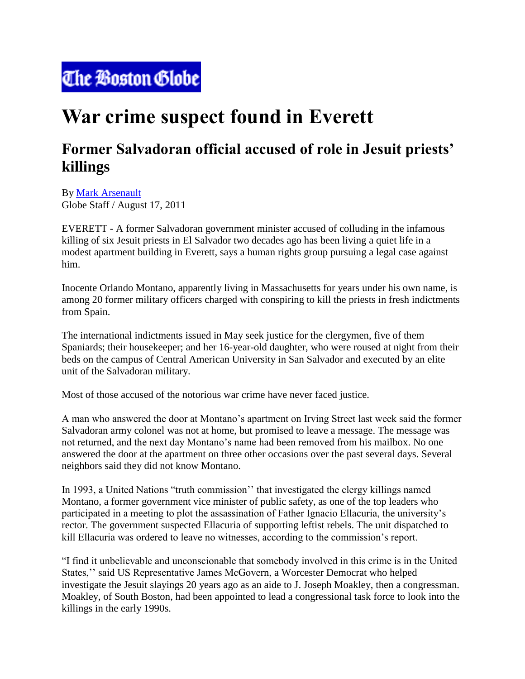## The Boston Globe

## **War crime suspect found in Everett**

## **Former Salvadoran official accused of role in Jesuit priests' killings**

By [Mark Arsenault](http://search.boston.com/local/Search.do?s.sm.query=Mark+Arsenault&camp=localsearch:on:byline:art) Globe Staff / August 17, 2011

EVERETT - A former Salvadoran government minister accused of colluding in the infamous killing of six Jesuit priests in El Salvador two decades ago has been living a quiet life in a modest apartment building in Everett, says a human rights group pursuing a legal case against him.

Inocente Orlando Montano, apparently living in Massachusetts for years under his own name, is among 20 former military officers charged with conspiring to kill the priests in fresh indictments from Spain.

The international indictments issued in May seek justice for the clergymen, five of them Spaniards; their housekeeper; and her 16-year-old daughter, who were roused at night from their beds on the campus of Central American University in San Salvador and executed by an elite unit of the Salvadoran military.

Most of those accused of the notorious war crime have never faced justice.

A man who answered the door at Montano's apartment on Irving Street last week said the former Salvadoran army colonel was not at home, but promised to leave a message. The message was not returned, and the next day Montano's name had been removed from his mailbox. No one answered the door at the apartment on three other occasions over the past several days. Several neighbors said they did not know Montano.

In 1993, a United Nations "truth commission'' that investigated the clergy killings named Montano, a former government vice minister of public safety, as one of the top leaders who participated in a meeting to plot the assassination of Father Ignacio Ellacuria, the university's rector. The government suspected Ellacuria of supporting leftist rebels. The unit dispatched to kill Ellacuria was ordered to leave no witnesses, according to the commission's report.

"I find it unbelievable and unconscionable that somebody involved in this crime is in the United States,'' said US Representative James McGovern, a Worcester Democrat who helped investigate the Jesuit slayings 20 years ago as an aide to J. Joseph Moakley, then a congressman. Moakley, of South Boston, had been appointed to lead a congressional task force to look into the killings in the early 1990s.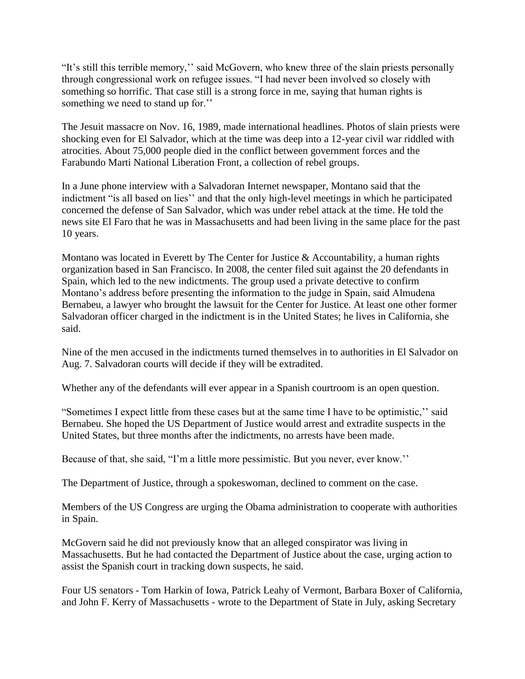"It's still this terrible memory,'' said McGovern, who knew three of the slain priests personally through congressional work on refugee issues. "I had never been involved so closely with something so horrific. That case still is a strong force in me, saying that human rights is something we need to stand up for.''

The Jesuit massacre on Nov. 16, 1989, made international headlines. Photos of slain priests were shocking even for El Salvador, which at the time was deep into a 12-year civil war riddled with atrocities. About 75,000 people died in the conflict between government forces and the Farabundo Marti National Liberation Front, a collection of rebel groups.

In a June phone interview with a Salvadoran Internet newspaper, Montano said that the indictment "is all based on lies'' and that the only high-level meetings in which he participated concerned the defense of San Salvador, which was under rebel attack at the time. He told the news site El Faro that he was in Massachusetts and had been living in the same place for the past 10 years.

Montano was located in Everett by The Center for Justice & Accountability, a human rights organization based in San Francisco. In 2008, the center filed suit against the 20 defendants in Spain, which led to the new indictments. The group used a private detective to confirm Montano's address before presenting the information to the judge in Spain, said Almudena Bernabeu, a lawyer who brought the lawsuit for the Center for Justice. At least one other former Salvadoran officer charged in the indictment is in the United States; he lives in California, she said.

Nine of the men accused in the indictments turned themselves in to authorities in El Salvador on Aug. 7. Salvadoran courts will decide if they will be extradited.

Whether any of the defendants will ever appear in a Spanish courtroom is an open question.

"Sometimes I expect little from these cases but at the same time I have to be optimistic,'' said Bernabeu. She hoped the US Department of Justice would arrest and extradite suspects in the United States, but three months after the indictments, no arrests have been made.

Because of that, she said, "I'm a little more pessimistic. But you never, ever know.''

The Department of Justice, through a spokeswoman, declined to comment on the case.

Members of the US Congress are urging the Obama administration to cooperate with authorities in Spain.

McGovern said he did not previously know that an alleged conspirator was living in Massachusetts. But he had contacted the Department of Justice about the case, urging action to assist the Spanish court in tracking down suspects, he said.

Four US senators - Tom Harkin of Iowa, Patrick Leahy of Vermont, Barbara Boxer of California, and John F. Kerry of Massachusetts - wrote to the Department of State in July, asking Secretary